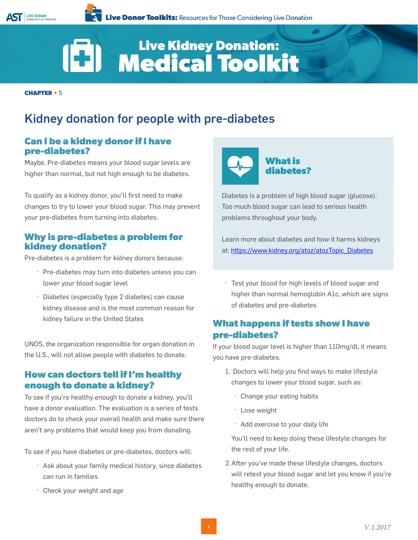

# Live Kidney Donation:<br>Medical Toolkit (C)

**CHAPTER •** 5

### Kidney donation for people with pre-diabetes

#### **Can I be a kidney donor if I have pre-diabetes?**

Maybe. Pre-diabetes means your blood sugar levels are higher than normal, but not high enough to be diabetes.

To qualify as a kidney donor, you'll first need to make changes to try to lower your blood sugar. This may prevent your pre-diabetes from turning into diabetes.

#### **Why is pre-diabetes a problem for kidney donation?**

Pre-diabetes is a problem for kidney donors because:

- · Pre-diabetes may turn into diabetes unless you can lower your blood sugar level
- · Diabetes (especially type 2 diabetes) can cause kidney disease and is the most common reason for kidney failure in the United States

UNOS, the organization responsible for organ donation in the U.S., will not allow people with diabetes to donate.

#### **How can doctors tell if I'm healthy enough to donate a kidney?**

To see if you're healthy enough to donate a kidney, you'll have a donor evaluation. The evaluation is a series of tests doctors do to check your overall health and make sure there aren't any problems that would keep you from donating.

To see if you have diabetes or pre-diabetes, doctors will:

- · Ask about your family medical history, since diabetes can run in families
- · Check your weight and age



Diabetes is a problem of high blood sugar (glucose). Too much blood sugar can lead to serious health problems throughout your body.

Learn more about diabetes and how it harms kidneys at: https://www.kidney.org/atoz/atozTopic\_Diabetes

· Test your blood for high levels of blood sugar and higher than normal hemoglobin A1c, which are signs of diabetes and pre-diabetes

### **What happens if tests show I have pre-diabetes?**

If your blood sugar level is higher than 110mg/dl, it means you have pre-diabetes.

- 1. Doctors will help you find ways to make lifestyle changes to lower your blood sugar, such as:
	- · Change your eating habits
	- · Lose weight
	- · Add exercise to your daily life

You'll need to keep doing these lifestyle changes for the rest of your life.

2.After you've made these lifestyle changes, doctors will retest your blood sugar and let you know if you're healthy enough to donate.